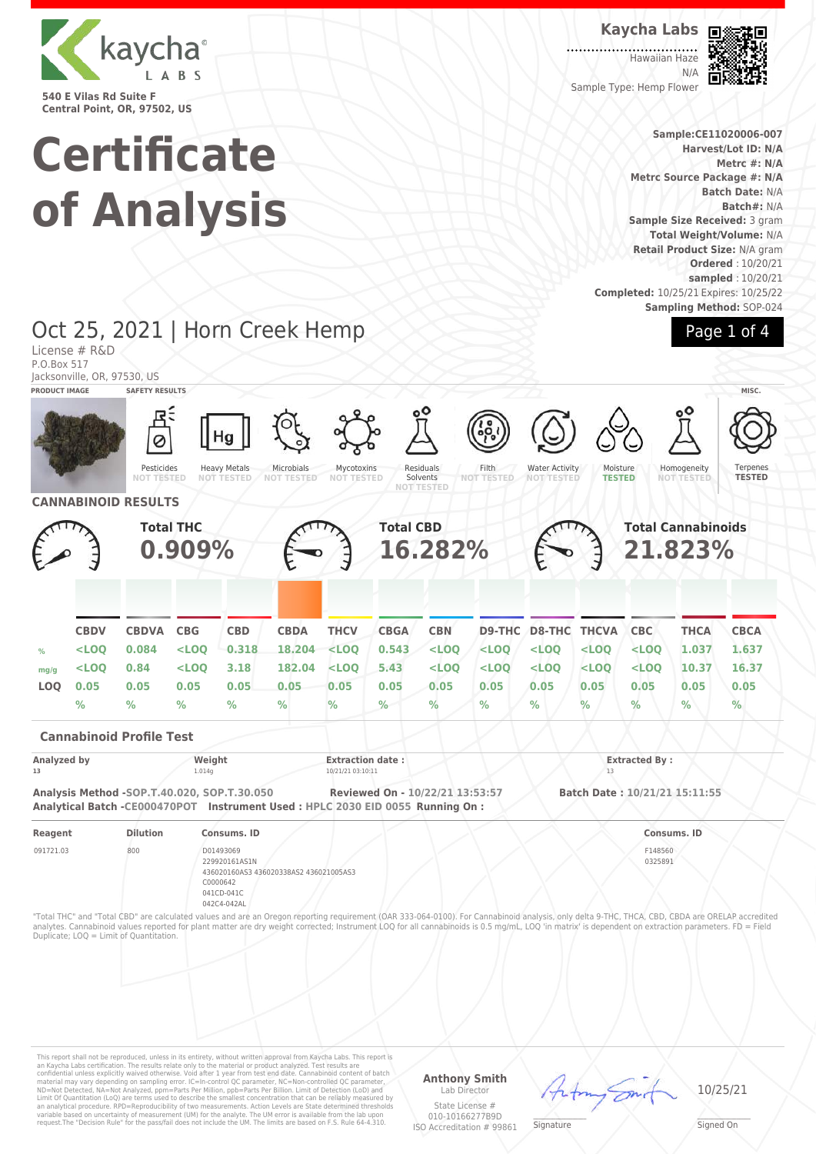

**Certificate of Analysis**

#### **Kaycha Labs**

Hawaiian Haze N/A Sample Type: Hemp Flower



**Sample:CE11020006-007 Harvest/Lot ID: N/A Metrc #: N/A Metrc Source Package #: N/A Batch Date:** N/A **Batch#:** N/A **Sample Size Received:** 3 gram **Total Weight/Volume:** N/A **Retail Product Size:** N/A gram **Ordered** : 10/20/21 **sampled** : 10/20/21 **Completed:** 10/25/21 Expires: 10/25/22 **Sampling Method:** SOP-024

#### Oct 25, 2021 | Horn Creek Hemp License # R&D P.O.Box 517 Jacksonville, OR, 97530, US Page 1 of 4 **PRODUCT IMAGE SAFETY RESULTS MISC.** Pesticides **NOT TESTED** Heavy Metals **NOT TESTED** Microbials **NOT TESTED** Mycotoxins **NOT TESTED** Residuals Solvents **NOT TESTED** Filth **NOT TESTED** Water Activity **NOT TESTED** Moisture **TESTED Homogeneity NOT TESTED** Ternenes **TESTED CANNABINOID RESULTS Total THC 0.909% Total CBD 16.282% Total Cannabinoids 21.823% CBDV CBDVA CBG CBD CBDA THCV CBGA CBN D9-THC D8-THC THCVA CBC THCA CBCA % <LOQ 0.084 <LOQ 0.318 18.204 <LOQ 0.543 <LOQ <LOQ <LOQ <LOQ <LOQ 1.037 1.637 mg/g <LOQ 0.84 <LOQ 3.18 182.04 <LOQ 5.43 <LOQ <LOQ <LOQ <LOQ <LOQ 10.37 16.37 LOQ 0.05 0.05 0.05 0.05 0.05 0.05 0.05 0.05 0.05 0.05 0.05 0.05 0.05 0.05 % % % % % % % % % % % % % % Cannabinoid Profile Test Analyzed by Weight Extraction date : Extracted By : 13 10/21/21 03:10:11 10/21/21 03:10:11 13 Analysis Method -SOP.T.40.020, SOP.T.30.050 Reviewed On - 10/22/21 13:53:57 Batch Date : 10/21/21 15:11:55 Analytical Batch -CE000470POT Instrument Used : HPLC 2030 EID 0055 Running On : Reagent Dilution Consums. ID Consums. ID** 091721.03 800 D01493069 229920161AS1N 436020160AS3 436020338AS2 436021005AS3 C0000642 041CD-041C 042C4-042AL F148560 0325891 "Total THC" and "Total CBD" are calculated values and are an Oregon reporting requirement (OAR 333-064-0100). For Cannabinoid analysis, only delta 9-THC, THCA, CBD, CBDA are ORELAP accredited analytes. Cannabinoid values reported for plant matter are dry weight corrected; Instrument LOQ for all cannabinoids is 0.5 mg/mL, LOQ 'in matrix' is dependent on extraction parameters. FD = Field Duplicate; LOQ = Limit of Quantitation.

This report shall not be reproduced, unless in its entirety, without written approval from Kaycha Labs. This report is<br>an Kaycha Labs certification. The results relate only to the material or product analyzed. Test results

**Anthony Smith** Lab Director State License #

010-10166277B9D ISO Accreditation # 99861

10/25/21

Signature

Signed On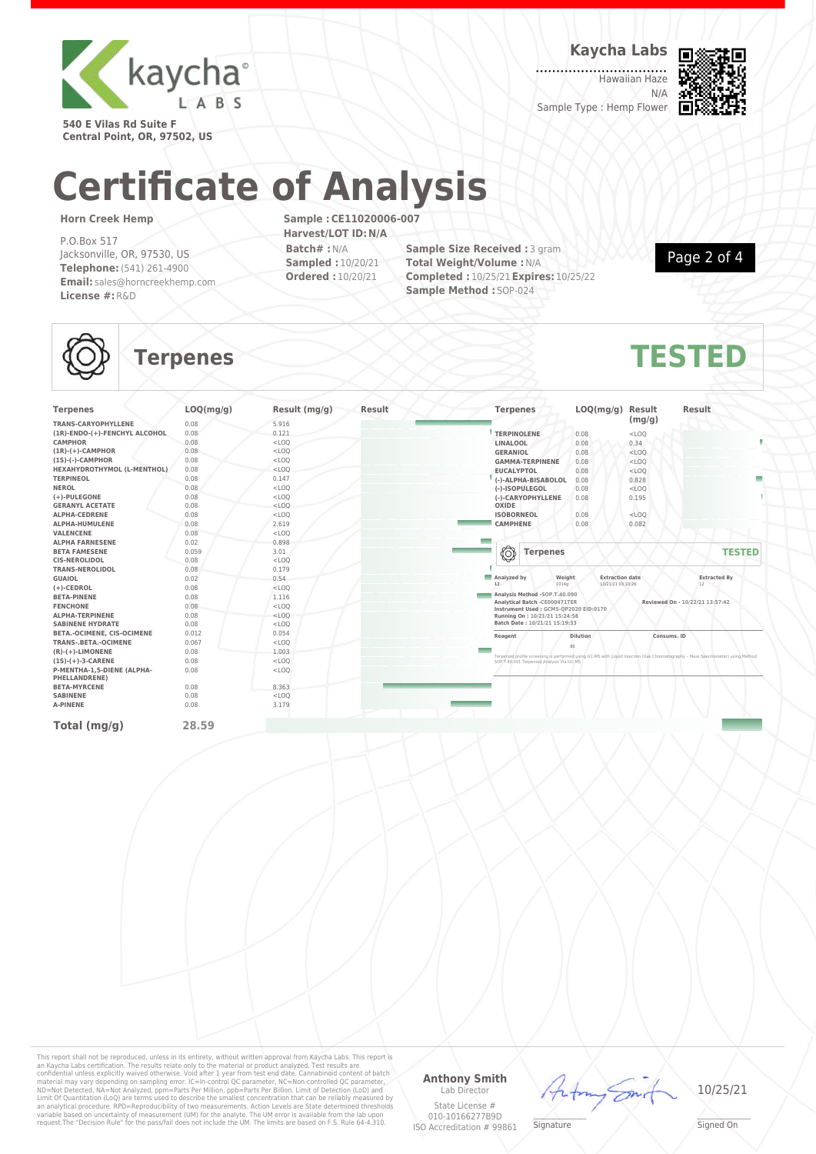

**Kaycha Labs**

Hawaiian Haze N/A Sample Type : Hemp Flower



**540 E Vilas Rd Suite F Central Point, OR, 97502, US**

# **Certificate of Analysis**

#### **Horn Creek Hemp**

P.O.Box 517 Jacksonville, OR, 97530, US **Telephone:**(541) 261-4900 **Email:** sales@horncreekhemp.com **License #:**R&D

**Sample :CE11020006-007 Harvest/LOT ID:N/A Batch# :**N/A **Sampled :** 10/20/21 **Ordered :** 10/20/21

**Sample Size Received : 3 gram Total Weight/Volume :**N/A **Completed :** 10/25/21**Expires:** 10/25/22 **Sample Method :** SOP-024

Page 2 of 4

## **Terpenes TESTED**

| <b>Terpenes</b>                                    | LOQ(mg/g) | Result (mg/g) | Result | <b>Terpenes</b>                                                         | LOQ(mg/g)              | Result      | <b>Result</b>                                                                                                                                                                 |
|----------------------------------------------------|-----------|---------------|--------|-------------------------------------------------------------------------|------------------------|-------------|-------------------------------------------------------------------------------------------------------------------------------------------------------------------------------|
| <b>TRANS-CARYOPHYLLENE</b>                         | 0.08      | 5.916         |        |                                                                         |                        | (mg/g)      |                                                                                                                                                                               |
| (1R)-ENDO-(+)-FENCHYL ALCOHOL                      | 0.08      | 0.121         |        | <b>TERPINOLENE</b>                                                      | 0.08                   | $<$ LOQ     |                                                                                                                                                                               |
| <b>CAMPHOR</b>                                     | 0.08      | $<$ LOQ       |        | LINALOOL                                                                | 0.08                   | 0.34        |                                                                                                                                                                               |
| $(1R)-(+)$ -CAMPHOR                                | 0.08      | $<$ LOQ       |        | <b>GERANIOL</b>                                                         | 0.08                   | $<$ LOQ     |                                                                                                                                                                               |
| $(15)-(-)$ -CAMPHOR                                | 0.08      | $<$ LOQ       |        | <b>GAMMA-TERPINENE</b>                                                  | 0.08                   | $<$ LOQ     |                                                                                                                                                                               |
| HEXAHYDROTHYMOL (L-MENTHOL)                        | 0.08      | $<$ LOQ       |        | <b>EUCALYPTOL</b>                                                       | 0.08                   | $<$ LOQ     |                                                                                                                                                                               |
| <b>TERPINEOL</b>                                   | 0.08      | 0.147         |        | (-)-ALPHA-BISABOLOL                                                     | 0.08                   | 0.828       | Е                                                                                                                                                                             |
| <b>NEROL</b>                                       | 0.08      | $<$ LOQ       |        | (-)-ISOPULEGOL                                                          | 0.08                   | $<$ LOQ     |                                                                                                                                                                               |
| (+)-PULEGONE                                       | 0.08      | $<$ LOQ       |        | (-)-CARYOPHYLLENE                                                       | 0.08                   | 0.195       |                                                                                                                                                                               |
| <b>GERANYL ACETATE</b>                             | 0.08      | $<$ LOQ       |        | OXIDE                                                                   |                        |             |                                                                                                                                                                               |
| <b>ALPHA-CEDRENE</b>                               | 0.08      | $<$ LOQ       |        | <b>ISOBORNEOL</b>                                                       | 0.08                   | $<$ LOQ     |                                                                                                                                                                               |
| ALPHA-HUMULENE                                     | 0.08      | 2.619         |        | <b>CAMPHENE</b>                                                         | 0.08                   | 0.082       |                                                                                                                                                                               |
| <b>VALENCENE</b>                                   | 0.08      | $<$ LOQ       |        |                                                                         |                        |             |                                                                                                                                                                               |
| <b>ALPHA FARNESENE</b>                             | 0.02      | 0.898         |        |                                                                         |                        |             |                                                                                                                                                                               |
| <b>BETA FAMESENE</b>                               | 0.059     | 3.01          |        | ◎<br><b>Terpenes</b>                                                    |                        |             | <b>TESTED</b>                                                                                                                                                                 |
| <b>CIS-NEROLIDOL</b>                               | 0.08      | $<$ LOQ       |        |                                                                         |                        |             |                                                                                                                                                                               |
| <b>TRANS-NEROLIDOL</b>                             | 0.08      | 0.179         |        |                                                                         |                        |             |                                                                                                                                                                               |
| <b>GUAIOL</b>                                      | 0.02      | 0.54          |        | Analyzed by<br>Weight                                                   | <b>Extraction date</b> |             | <b>Extracted By</b>                                                                                                                                                           |
| $(+)$ -CEDROL                                      | 0.08      | $<$ LOO       |        | $12\,$<br>1014q                                                         | 10/21/21 03:10:26      |             | 12                                                                                                                                                                            |
| <b>BETA-PINENE</b>                                 | 0.08      | 1.116         |        | Analysis Method -SOP.T.40.090                                           |                        |             |                                                                                                                                                                               |
| <b>FENCHONE</b>                                    | 0.08      | $<$ LOO       |        | Analytical Batch - CE000471TER<br>Instrument Used: GCMS-QP2020 EID:0170 |                        |             | Reviewed On - 10/22/21 13:57:42                                                                                                                                               |
| <b>ALPHA-TERPINENE</b>                             | 0.08      | $<$ LOQ       |        | Running On: 10/21/21 15:24:58                                           |                        |             |                                                                                                                                                                               |
| <b>SABINENE HYDRATE</b>                            | 0.08      | $<$ LOQ       |        | Batch Date: 10/21/21 15:19:33                                           |                        |             |                                                                                                                                                                               |
| BETA.-OCIMENE, CIS-OCIMENE                         | 0.012     | 0.054         |        | Reagent                                                                 | <b>Dilution</b>        | Consums, ID |                                                                                                                                                                               |
| <b>TRANS-.BETA.-OCIMENE</b>                        | 0.067     | $<$ LOQ       |        |                                                                         | 80                     |             |                                                                                                                                                                               |
| $(R)-(+)$ -LIMONENE                                | 0.08      | 1.003         |        |                                                                         |                        |             |                                                                                                                                                                               |
| $(1S)-(+)$ -3-CARENE                               | 0.08      | $<$ LOO       |        |                                                                         |                        |             | Terpenoid profile screening is performed using GC-MS with Liquid Injection (Gas Chromatography - Mass Spectrometer) using Method<br>SOP:T.40.091 Terpenoid Analysis Via GC-MS |
| P-MENTHA-1,5-DIENE (ALPHA-<br><b>PHELLANDRENE)</b> | 0.08      | $<$ LOQ       |        |                                                                         |                        |             |                                                                                                                                                                               |
| <b>BETA-MYRCENE</b>                                | 0.08      | 8.363         |        |                                                                         |                        |             |                                                                                                                                                                               |
| <b>SABINENE</b>                                    | 0.08      | $<$ LOQ       |        |                                                                         |                        |             |                                                                                                                                                                               |
| <b>A-PINENE</b>                                    | 0.08      | 3.179         |        |                                                                         |                        |             |                                                                                                                                                                               |
| Total (mg/g)                                       | 28.59     |               |        |                                                                         |                        |             |                                                                                                                                                                               |

This report shall not be reproduced, unless in its entirety, without written approval from Kaycha Labs. This report is<br>an Kaycha Labs certification. The results relate only to the material or product analyzed. Test results

#### **Anthony Smith** Lab Director

State License # 010-10166277B9D the

10/25/21

ISO Accreditation # 99861 **Signature** 

\_\_\_\_\_\_\_\_\_\_\_\_\_\_\_\_\_\_\_ Signed On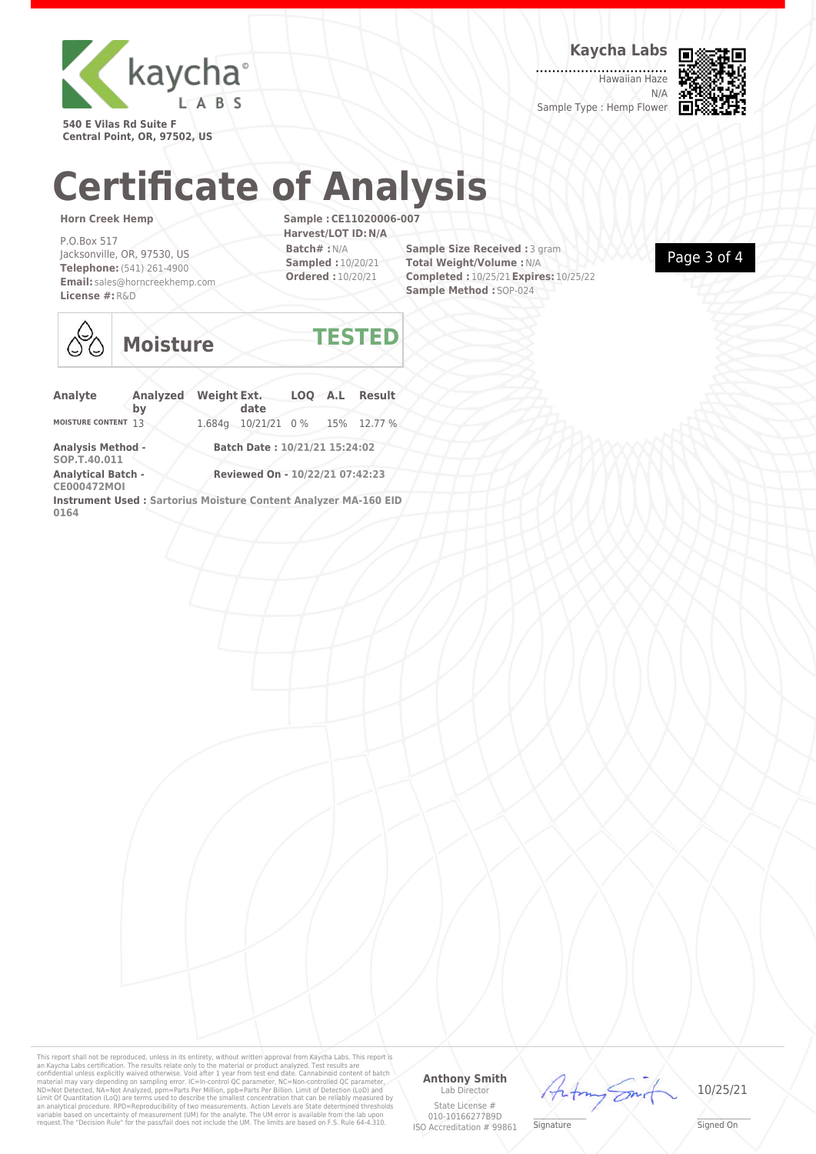

**Kaycha Labs**

. . . . . . . . . . . . . . Hawaiian Haze N/A Sample Type : Hemp Flower



**540 E Vilas Rd Suite F Central Point, OR, 97502, US**

## **Certificate of Analysis**

#### **Horn Creek Hemp**

P.O.Box 517 Jacksonville, OR, 97530, US **Telephone:**(541) 261-4900 **Email:** sales@horncreekhemp.com **License #:**R&D

**Sample :CE11020006-007 Harvest/LOT ID:N/A Batch# :**N/A **Sampled :** 10/20/21 **Ordered :** 10/20/21

**Sample Size Received : 3 gram Total Weight/Volume :**N/A **Completed :** 10/25/21**Expires:** 10/25/22 **Sample Method :** SOP-024





## **Moisture TESTED**

| Analyte                                                                 | <b>Analyzed</b><br>bv | <b>Weight Ext.</b>              | date                          |  |  | LOQ A.L Result |
|-------------------------------------------------------------------------|-----------------------|---------------------------------|-------------------------------|--|--|----------------|
| MOISTURE CONTENT 13                                                     |                       |                                 | 1.684g 10/21/21 0% 15% 12.77% |  |  |                |
| <b>Analysis Method -</b><br>SOP.T.40.011                                |                       |                                 | Batch Date: 10/21/21 15:24:02 |  |  |                |
| <b>Analytical Batch -</b><br><b>CE000472MOI</b>                         |                       | Reviewed On - 10/22/21 07:42:23 |                               |  |  |                |
| Instrument Used: Sartorius Moisture Content Analyzer MA-160 EID<br>0164 |                       |                                 |                               |  |  |                |

This report shall not be reproduced, unless in its entirety, without written approval from Kaycha Labs. This report is<br>an Kaycha Labs certification. The results relate only to the material or product analyzed. Test results

#### **Anthony Smith** Lab Director

State License # 010-10166277B9D ISO Accreditation # 99861  $44$ 

**Signature** 

\_\_\_\_\_\_\_\_\_\_\_\_\_\_\_\_\_\_\_ Signed On

10/25/21